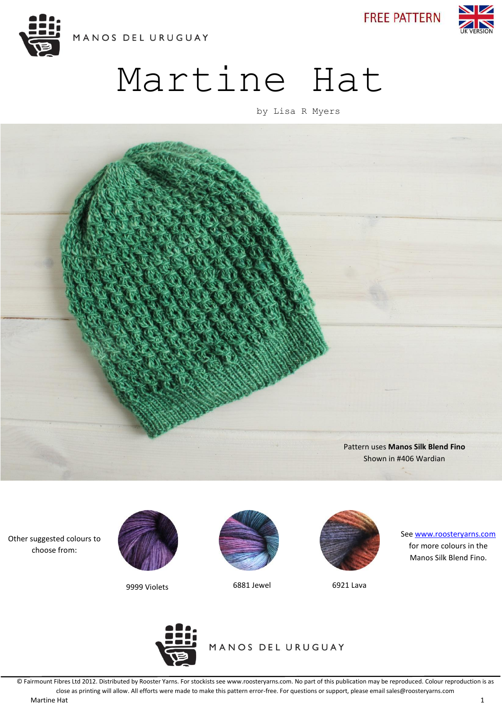

**FREE PATTERN** 



# Martine Hat

by Lisa R Myers



Other suggested colours to choose from:



9999 Violets 6881 Jewel 6921 Lava





See [www.roosteryarns.com](http://www.roosteryarns.com/) for more colours in the Manos Silk Blend Fino.



MANOS DEL URUGUAY

© Fairmount Fibres Ltd 2012. Distributed by Rooster Yarns. For stockists see www.roosteryarns.com. No part of this publication may be reproduced. Colour reproduction is as close as printing will allow. All efforts were made to make this pattern error-free. For questions or support, please email sales@roosteryarns.com Martine Hat 1